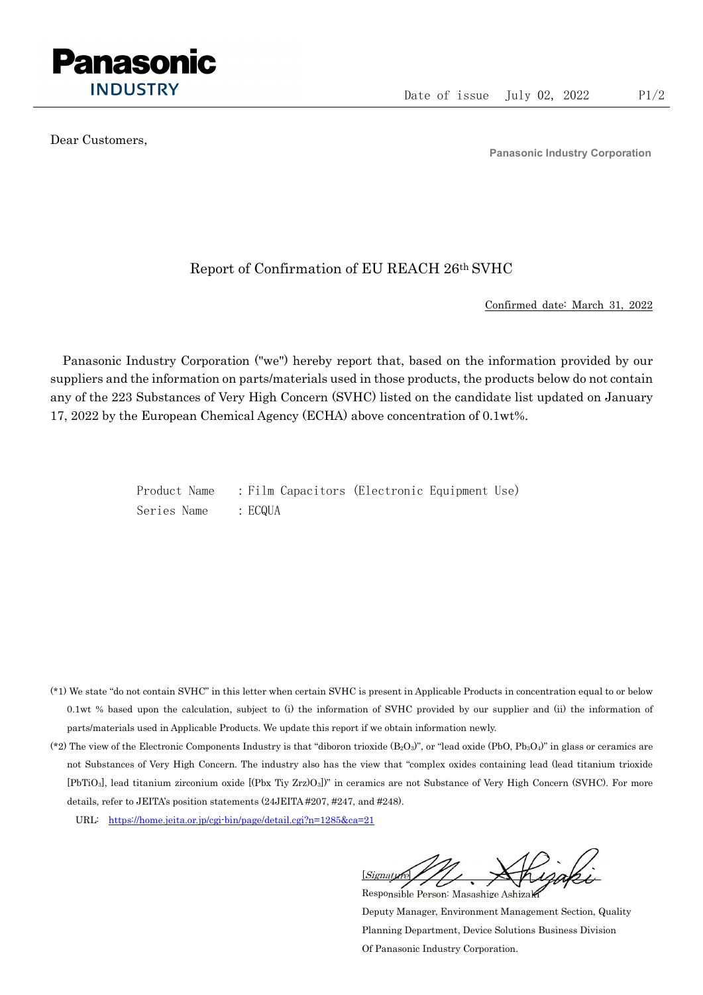

Dear Customers,

Panasonic Industry Corporation

## Report of Confirmation of EU REACH 26th SVHC

Confirmed date: March 31, 2022

Panasonic Industry Corporation ("we") hereby report that, based on the information provided by our suppliers and the information on parts/materials used in those products, the products below do not contain any of the 223 Substances of Very High Concern (SVHC) listed on the candidate list updated on January 17, 2022 by the European Chemical Agency (ECHA) above concentration of 0.1wt%.

> Product Name : Film Capacitors (Electronic Equipment Use) Series Name : ECQUA

- (\*1) We state "do not contain SVHC" in this letter when certain SVHC is present in Applicable Products in concentration equal to or below 0.1wt % based upon the calculation, subject to (i) the information of SVHC provided by our supplier and (ii) the information of parts/materials used in Applicable Products. We update this report if we obtain information newly.
- (\*2) The view of the Electronic Components Industry is that "diboron trioxide  $(B_2O_3)$ ", or "lead oxide (PbO, Pb<sub>3</sub>O<sub>4</sub>)" in glass or ceramics are not Substances of Very High Concern. The industry also has the view that "complex oxides containing lead (lead titanium trioxide [PbTiO3], lead titanium zirconium oxide [(Pbx Tiy Zrz)O3])" in ceramics are not Substance of Very High Concern (SVHC). For more details, refer to JEITA's position statements (24JEITA #207, #247, and #248).
	- URL: https://home.jeita.or.jp/cgi-bin/page/detail.cgi?n=1285&ca=21

[Signature] Responsible Person: Masashige Ashizaki

Deputy Manager, Environment Management Section, Quality Planning Department, Device Solutions Business Division Of Panasonic Industry Corporation.